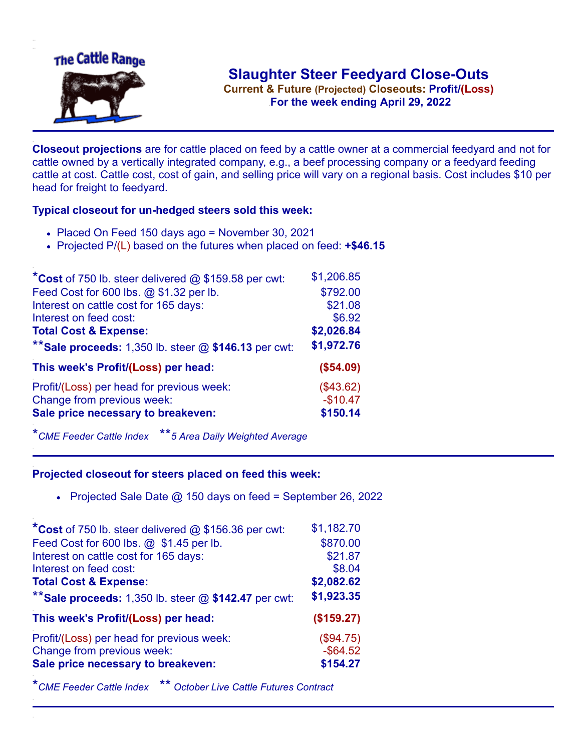

**Current & Future (Projected) Closeouts: Profit/(Loss)** .**For the week ending April 29, 2022**

**Closeout projections** are for cattle placed on feed by a cattle owner at a commercial feedyard and not for cattle owned by a vertically integrated company, e.g., a beef processing company or a feedyard feeding cattle at cost. Cattle cost, cost of gain, and selling price will vary on a regional basis. Cost includes \$10 per head for freight to feedyard.

## **Typical closeout for un-hedged steers sold this week:**

- Placed On Feed 150 days ago = November 30, 2021
- Projected P/(L) based on the futures when placed on feed: **+\$46.15**

| *Cost of 750 lb. steer delivered $@$ \$159.58 per cwt:  | \$1,206.85 |
|---------------------------------------------------------|------------|
| Feed Cost for 600 lbs. @ \$1.32 per lb.                 | \$792.00   |
| Interest on cattle cost for 165 days:                   | \$21.08    |
| Interest on feed cost:                                  | \$6.92     |
| <b>Total Cost &amp; Expense:</b>                        | \$2,026.84 |
| ** Sale proceeds: 1,350 lb. steer $@$ \$146.13 per cwt: | \$1,972.76 |
| This week's Profit/(Loss) per head:                     | (\$54.09)  |
| Profit/(Loss) per head for previous week:               | (\$43.62)  |
| Change from previous week:                              | $-$10.47$  |
| Sale price necessary to breakeven:                      | \$150.14   |

\**CME Feeder Cattle Index* \*\**5 Area Daily Weighted Average*

## **Projected closeout for steers placed on feed this week:**

• Projected Sale Date  $@$  150 days on feed = September 26, 2022

| *Cost of 750 lb. steer delivered @ \$156.36 per cwt:    | \$1,182.70  |
|---------------------------------------------------------|-------------|
| Feed Cost for 600 lbs. @ \$1.45 per lb.                 | \$870.00    |
| Interest on cattle cost for 165 days:                   | \$21.87     |
| Interest on feed cost:                                  | \$8.04      |
| <b>Total Cost &amp; Expense:</b>                        | \$2,082.62  |
| ** Sale proceeds: 1,350 lb. steer $@$ \$142.47 per cwt: | \$1,923.35  |
| This week's Profit/(Loss) per head:                     | (\$159.27)  |
| Profit/(Loss) per head for previous week:               | (\$94.75)   |
| Change from previous week:                              | $-$ \$64.52 |
| Sale price necessary to breakeven:                      | \$154.27    |
|                                                         |             |

\**CME Feeder Cattle Index* \*\* *October Live Cattle Futures Contract*